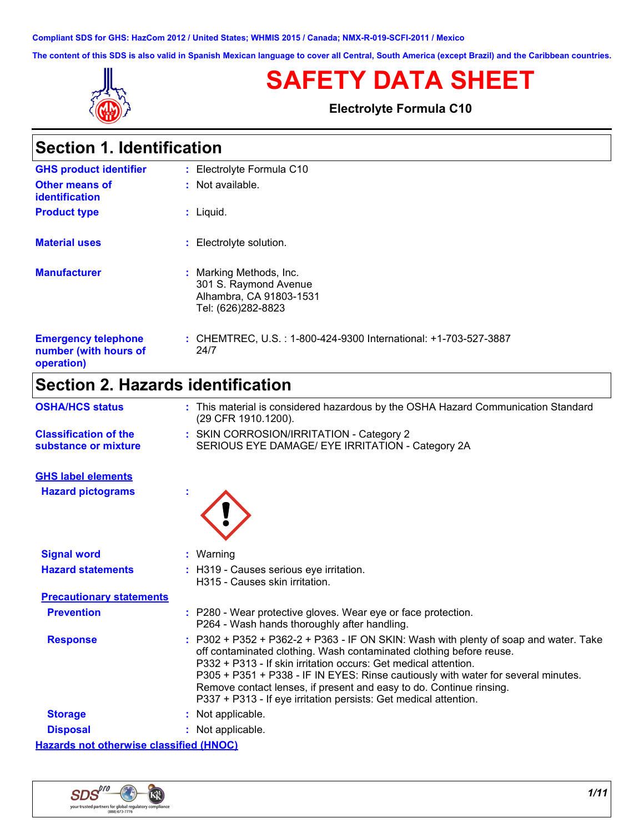**Compliant SDS for GHS: HazCom 2012 / United States; WHMIS 2015 / Canada; NMX-R-019-SCFI-2011 / Mexico**

**The content of this SDS is also valid in Spanish Mexican language to cover all Central, South America (except Brazil) and the Caribbean countries.**



# **SAFETY DATA SHEET**

**Electrolyte Formula C10**

| <b>Section 1. Identification</b>                                  |                                                                                                   |  |
|-------------------------------------------------------------------|---------------------------------------------------------------------------------------------------|--|
| <b>GHS product identifier</b>                                     | : Electrolyte Formula C10                                                                         |  |
| <b>Other means of</b><br><b>identification</b>                    | : Not available.                                                                                  |  |
| <b>Product type</b>                                               | $:$ Liquid.                                                                                       |  |
| <b>Material uses</b>                                              | : Electrolyte solution.                                                                           |  |
| <b>Manufacturer</b>                                               | : Marking Methods, Inc.<br>301 S. Raymond Avenue<br>Alhambra, CA 91803-1531<br>Tel: (626)282-8823 |  |
| <b>Emergency telephone</b><br>number (with hours of<br>operation) | : CHEMTREC, U.S. : 1-800-424-9300 International: +1-703-527-3887<br>24/7                          |  |

# **Section 2. Hazards identification**

| <b>OSHA/HCS status</b>                               | : This material is considered hazardous by the OSHA Hazard Communication Standard<br>(29 CFR 1910.1200).                                                                                                                                                                                                                                                                                                                                                     |
|------------------------------------------------------|--------------------------------------------------------------------------------------------------------------------------------------------------------------------------------------------------------------------------------------------------------------------------------------------------------------------------------------------------------------------------------------------------------------------------------------------------------------|
| <b>Classification of the</b><br>substance or mixture | : SKIN CORROSION/IRRITATION - Category 2<br>SERIOUS EYE DAMAGE/ EYE IRRITATION - Category 2A                                                                                                                                                                                                                                                                                                                                                                 |
| <b>GHS label elements</b>                            |                                                                                                                                                                                                                                                                                                                                                                                                                                                              |
| <b>Hazard pictograms</b>                             |                                                                                                                                                                                                                                                                                                                                                                                                                                                              |
| <b>Signal word</b>                                   | : Warning                                                                                                                                                                                                                                                                                                                                                                                                                                                    |
| <b>Hazard statements</b>                             | : H319 - Causes serious eye irritation.<br>H315 - Causes skin irritation.                                                                                                                                                                                                                                                                                                                                                                                    |
| <b>Precautionary statements</b>                      |                                                                                                                                                                                                                                                                                                                                                                                                                                                              |
| <b>Prevention</b>                                    | : P280 - Wear protective gloves. Wear eye or face protection.<br>P264 - Wash hands thoroughly after handling.                                                                                                                                                                                                                                                                                                                                                |
| <b>Response</b>                                      | P302 + P352 + P362-2 + P363 - IF ON SKIN: Wash with plenty of soap and water. Take<br>off contaminated clothing. Wash contaminated clothing before reuse.<br>P332 + P313 - If skin irritation occurs: Get medical attention.<br>P305 + P351 + P338 - IF IN EYES: Rinse cautiously with water for several minutes.<br>Remove contact lenses, if present and easy to do. Continue rinsing.<br>P337 + P313 - If eye irritation persists: Get medical attention. |
| <b>Storage</b>                                       | : Not applicable.                                                                                                                                                                                                                                                                                                                                                                                                                                            |
| <b>Disposal</b>                                      | : Not applicable.                                                                                                                                                                                                                                                                                                                                                                                                                                            |
| <b>Hazards not otherwise classified (HNOC)</b>       |                                                                                                                                                                                                                                                                                                                                                                                                                                                              |

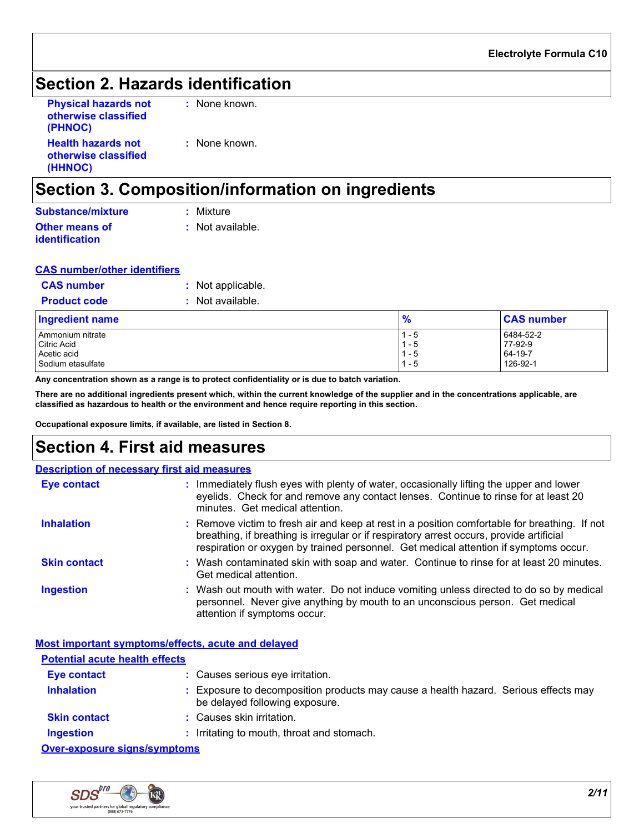### **Section 2. Hazards identification**

| <b>Physical hazards not</b><br>otherwise classified | : None known. |
|-----------------------------------------------------|---------------|
| (PHNOC)                                             |               |
| <b>Health hazards not</b>                           | : None known. |
| otherwise classified                                |               |
| (HHNOC)                                             |               |

### **Section 3. Composition/information on ingredients**

| Substance/mixture     | : Mixture        |
|-----------------------|------------------|
| Other means of        | : Not available. |
| <b>identification</b> |                  |

#### **CAS number/other identifiers**

| <b>CAS number</b>   | : Not applicable. |
|---------------------|-------------------|
| <b>Product code</b> | : Not available.  |

| <b>Ingredient name</b> | 0<br>70 | <b>CAS number</b> |
|------------------------|---------|-------------------|
| l Ammonium nitrate     | 1 - 5   | 6484-52-2         |
| Citric Acid            | - 5     | 77-92-9           |
| Acetic acid            | - 5     | 64-19-7           |
| Sodium etasulfate      | - 5     | 126-92-1          |

**Any concentration shown as a range is to protect confidentiality or is due to batch variation.**

**There are no additional ingredients present which, within the current knowledge of the supplier and in the concentrations applicable, are classified as hazardous to health or the environment and hence require reporting in this section.**

**Occupational exposure limits, if available, are listed in Section 8.**

### **Section 4. First aid measures**

| <b>Description of necessary first aid measures</b> |                                                                                                                                                                                                                                                                                   |
|----------------------------------------------------|-----------------------------------------------------------------------------------------------------------------------------------------------------------------------------------------------------------------------------------------------------------------------------------|
| <b>Eye contact</b>                                 | : Immediately flush eyes with plenty of water, occasionally lifting the upper and lower<br>eyelids. Check for and remove any contact lenses. Continue to rinse for at least 20<br>minutes. Get medical attention.                                                                 |
| <b>Inhalation</b>                                  | : Remove victim to fresh air and keep at rest in a position comfortable for breathing. If not<br>breathing, if breathing is irregular or if respiratory arrest occurs, provide artificial<br>respiration or oxygen by trained personnel. Get medical attention if symptoms occur. |
| <b>Skin contact</b>                                | : Wash contaminated skin with soap and water. Continue to rinse for at least 20 minutes.<br>Get medical attention.                                                                                                                                                                |
| <b>Ingestion</b>                                   | : Wash out mouth with water. Do not induce vomiting unless directed to do so by medical<br>personnel. Never give anything by mouth to an unconscious person. Get medical<br>attention if symptoms occur.                                                                          |

| Most important symptoms/effects, acute and delayed |                                                                                                                     |
|----------------------------------------------------|---------------------------------------------------------------------------------------------------------------------|
| <b>Potential acute health effects</b>              |                                                                                                                     |
| Eye contact                                        | : Causes serious eye irritation.                                                                                    |
| <b>Inhalation</b>                                  | Exposure to decomposition products may cause a health hazard. Serious effects may<br>be delayed following exposure. |
| <b>Skin contact</b>                                | : Causes skin irritation.                                                                                           |
| <b>Ingestion</b>                                   | Irritating to mouth, throat and stomach.                                                                            |
| Over-exposure signs/symptoms                       |                                                                                                                     |

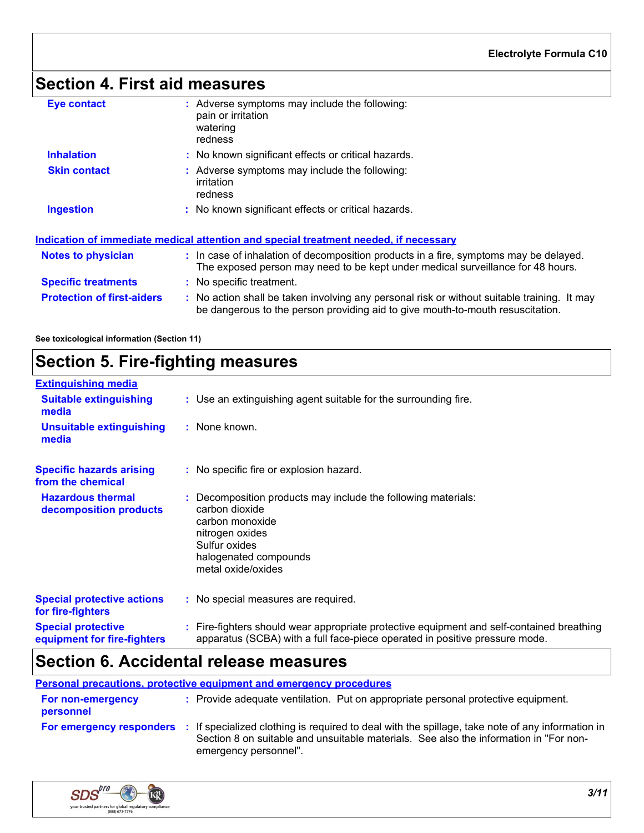# **Section 4. First aid measures**

| <b>Eye contact</b>                | : Adverse symptoms may include the following:<br>pain or irritation<br>watering<br>redness                                                                                    |
|-----------------------------------|-------------------------------------------------------------------------------------------------------------------------------------------------------------------------------|
| <b>Inhalation</b>                 | : No known significant effects or critical hazards.                                                                                                                           |
| <b>Skin contact</b>               | : Adverse symptoms may include the following:<br>irritation<br>redness                                                                                                        |
| <b>Ingestion</b>                  | : No known significant effects or critical hazards.                                                                                                                           |
|                                   | Indication of immediate medical attention and special treatment needed, if necessary                                                                                          |
| <b>Notes to physician</b>         | : In case of inhalation of decomposition products in a fire, symptoms may be delayed.<br>The exposed person may need to be kept under medical surveillance for 48 hours.      |
| <b>Specific treatments</b>        | : No specific treatment.                                                                                                                                                      |
| <b>Protection of first-aiders</b> | : No action shall be taken involving any personal risk or without suitable training. It may<br>be dangerous to the person providing aid to give mouth-to-mouth resuscitation. |
|                                   |                                                                                                                                                                               |

**See toxicological information (Section 11)**

# **Section 5. Fire-fighting measures**

| <b>Extinguishing media</b>                               |                                                                                                                                                                                       |
|----------------------------------------------------------|---------------------------------------------------------------------------------------------------------------------------------------------------------------------------------------|
| <b>Suitable extinguishing</b><br>media                   | : Use an extinguishing agent suitable for the surrounding fire.                                                                                                                       |
| <b>Unsuitable extinguishing</b><br>media                 | : None known.                                                                                                                                                                         |
| <b>Specific hazards arising</b><br>from the chemical     | : No specific fire or explosion hazard.                                                                                                                                               |
| <b>Hazardous thermal</b><br>decomposition products       | : Decomposition products may include the following materials:<br>carbon dioxide<br>carbon monoxide<br>nitrogen oxides<br>Sulfur oxides<br>halogenated compounds<br>metal oxide/oxides |
| <b>Special protective actions</b><br>for fire-fighters   | : No special measures are required.                                                                                                                                                   |
| <b>Special protective</b><br>equipment for fire-fighters | : Fire-fighters should wear appropriate protective equipment and self-contained breathing<br>apparatus (SCBA) with a full face-piece operated in positive pressure mode.              |

## **Section 6. Accidental release measures**

**Personal precautions, protective equipment and emergency procedures**

| For non-emergency<br>personnel | : Provide adequate ventilation. Put on appropriate personal protective equipment.                                                                                                                                                           |
|--------------------------------|---------------------------------------------------------------------------------------------------------------------------------------------------------------------------------------------------------------------------------------------|
|                                | For emergency responders : If specialized clothing is required to deal with the spillage, take note of any information in<br>Section 8 on suitable and unsuitable materials. See also the information in "For non-<br>emergency personnel". |

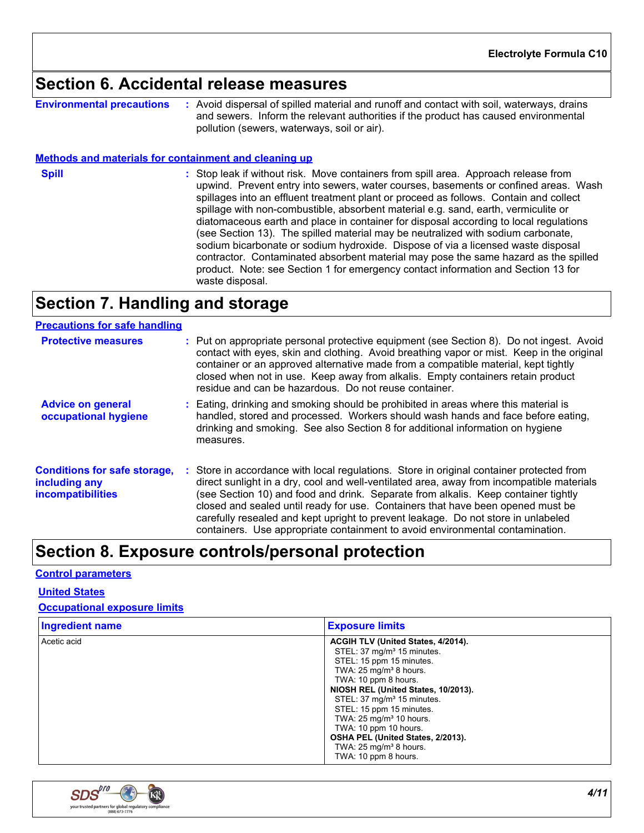### **Section 6. Accidental release measures**

**Environmental precautions :** Avoid dispersal of spilled material and runoff and contact with soil, waterways, drains and sewers. Inform the relevant authorities if the product has caused environmental pollution (sewers, waterways, soil or air).

#### **Methods and materials for containment and cleaning up**

**Spill** Stop leak if without risk. Move containers from spill area. Approach release from spill upwind. Prevent entry into sewers, water courses, basements or confined areas. Wash spillages into an effluent treatment plant or proceed as follows. Contain and collect spillage with non-combustible, absorbent material e.g. sand, earth, vermiculite or diatomaceous earth and place in container for disposal according to local regulations (see Section 13). The spilled material may be neutralized with sodium carbonate, sodium bicarbonate or sodium hydroxide. Dispose of via a licensed waste disposal contractor. Contaminated absorbent material may pose the same hazard as the spilled product. Note: see Section 1 for emergency contact information and Section 13 for waste disposal.

### **Section 7. Handling and storage**

| <b>Precautions for safe handling</b>                                             |                                                                                                                                                                                                                                                                                                                                                                                                                                                                                                                                      |
|----------------------------------------------------------------------------------|--------------------------------------------------------------------------------------------------------------------------------------------------------------------------------------------------------------------------------------------------------------------------------------------------------------------------------------------------------------------------------------------------------------------------------------------------------------------------------------------------------------------------------------|
| <b>Protective measures</b>                                                       | : Put on appropriate personal protective equipment (see Section 8). Do not ingest. Avoid<br>contact with eyes, skin and clothing. Avoid breathing vapor or mist. Keep in the original<br>container or an approved alternative made from a compatible material, kept tightly<br>closed when not in use. Keep away from alkalis. Empty containers retain product<br>residue and can be hazardous. Do not reuse container.                                                                                                              |
| <b>Advice on general</b><br>occupational hygiene                                 | : Eating, drinking and smoking should be prohibited in areas where this material is<br>handled, stored and processed. Workers should wash hands and face before eating,<br>drinking and smoking. See also Section 8 for additional information on hygiene<br>measures.                                                                                                                                                                                                                                                               |
| <b>Conditions for safe storage,</b><br>including any<br><b>incompatibilities</b> | : Store in accordance with local regulations. Store in original container protected from<br>direct sunlight in a dry, cool and well-ventilated area, away from incompatible materials<br>(see Section 10) and food and drink. Separate from alkalis. Keep container tightly<br>closed and sealed until ready for use. Containers that have been opened must be<br>carefully resealed and kept upright to prevent leakage. Do not store in unlabeled<br>containers. Use appropriate containment to avoid environmental contamination. |

### **Section 8. Exposure controls/personal protection**

#### **Control parameters**

**United States**

#### **Occupational exposure limits**

| <b>Ingredient name</b> | <b>Exposure limits</b>                 |
|------------------------|----------------------------------------|
| Acetic acid            | ACGIH TLV (United States, 4/2014).     |
|                        | STEL: 37 mg/m <sup>3</sup> 15 minutes. |
|                        | STEL: 15 ppm 15 minutes.               |
|                        | TWA: $25 \text{ mg/m}^3$ 8 hours.      |
|                        | TWA: 10 ppm 8 hours.                   |
|                        | NIOSH REL (United States, 10/2013).    |
|                        | STEL: 37 mg/m <sup>3</sup> 15 minutes. |
|                        | STEL: 15 ppm 15 minutes.               |
|                        | TWA: $25 \text{ mg/m}^3$ 10 hours.     |
|                        | TWA: 10 ppm 10 hours.                  |
|                        | OSHA PEL (United States, 2/2013).      |
|                        | TWA: $25 \text{ mg/m}^3$ 8 hours.      |
|                        | TWA: 10 ppm 8 hours.                   |

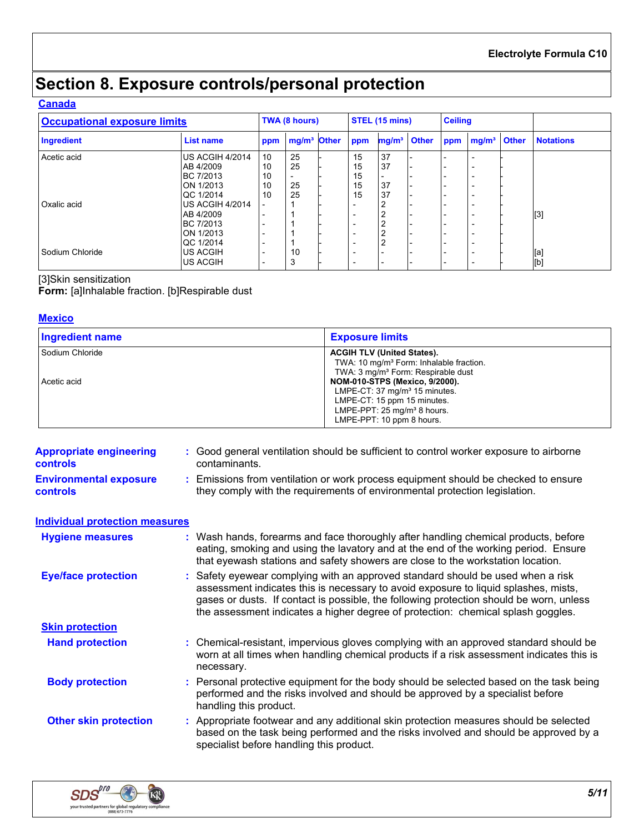# **Section 8. Exposure controls/personal protection**

#### **Canada**

| <b>Occupational exposure limits</b> |                        | TWA (8 hours) |                         | <b>STEL (15 mins)</b> |                          | <b>Ceiling</b>           |  |     |                          |  |                  |
|-------------------------------------|------------------------|---------------|-------------------------|-----------------------|--------------------------|--------------------------|--|-----|--------------------------|--|------------------|
| <b>Ingredient</b>                   | <b>List name</b>       | ppm           | mg/m <sup>3</sup> Other |                       | ppm                      | mg/m <sup>3</sup> Other  |  | ppm | $mg/m3$ Other            |  | <b>Notations</b> |
| Acetic acid                         | <b>US ACGIH 4/2014</b> | 10            | 25                      |                       | 15                       | 37                       |  |     |                          |  |                  |
|                                     | AB 4/2009              | 10            | 25                      |                       | 15                       | 37                       |  |     | $\overline{\phantom{a}}$ |  |                  |
|                                     | BC 7/2013              | 10            |                         |                       | 15                       |                          |  |     |                          |  |                  |
|                                     | ON 1/2013              | 10            | 25                      |                       | 15                       | 37                       |  |     | $\overline{\phantom{a}}$ |  |                  |
|                                     | QC 1/2014              | 10            | 25                      |                       | 15                       | 37                       |  |     | $\overline{\phantom{0}}$ |  |                  |
| Oxalic acid                         | US ACGIH 4/2014        |               |                         |                       | $\overline{\phantom{0}}$ | ົ<br>∠                   |  |     | $\overline{\phantom{a}}$ |  |                  |
|                                     | AB 4/2009              |               |                         |                       |                          | 2                        |  |     | $\overline{\phantom{0}}$ |  | [3]              |
|                                     | BC 7/2013              |               |                         |                       | $\overline{\phantom{0}}$ | 2                        |  |     | ۰                        |  |                  |
|                                     | <b>ON 1/2013</b>       |               |                         |                       |                          | $\overline{2}$           |  |     | ۰                        |  |                  |
|                                     | QC 1/2014              |               |                         |                       |                          | $\overline{2}$           |  |     | ۰                        |  |                  |
| Sodium Chloride                     | <b>US ACGIH</b>        |               | 10                      |                       |                          | $\overline{\phantom{0}}$ |  |     | $\overline{\phantom{0}}$ |  | [a]              |
|                                     | <b>US ACGIH</b>        |               | 3                       |                       |                          |                          |  |     | $\overline{\phantom{0}}$ |  | [b]              |
|                                     |                        |               |                         |                       |                          |                          |  |     |                          |  |                  |

### [3]Skin sensitization

**Form:** [a]Inhalable fraction. [b]Respirable dust

#### **Mexico**

| Ingredient name   | <b>Exposure limits</b>                                                                                                                                                         |
|-------------------|--------------------------------------------------------------------------------------------------------------------------------------------------------------------------------|
| l Sodium Chloride | <b>ACGIH TLV (United States).</b><br>TWA: 10 mg/m <sup>3</sup> Form: Inhalable fraction.<br>TWA: 3 mg/m <sup>3</sup> Form: Respirable dust                                     |
| Acetic acid       | <b>NOM-010-STPS (Mexico, 9/2000).</b><br>LMPE-CT: 37 $mg/m3$ 15 minutes.<br>LMPE-CT: 15 ppm 15 minutes.<br>LMPE-PPT: $25 \text{ mg/m}^3$ 8 hours.<br>LMPE-PPT: 10 ppm 8 hours. |

| <b>Appropriate engineering</b><br><b>controls</b> | : Good general ventilation should be sufficient to control worker exposure to airborne<br>contaminants.                                                                                                                                                                                                                                               |
|---------------------------------------------------|-------------------------------------------------------------------------------------------------------------------------------------------------------------------------------------------------------------------------------------------------------------------------------------------------------------------------------------------------------|
| <b>Environmental exposure</b><br><b>controls</b>  | : Emissions from ventilation or work process equipment should be checked to ensure<br>they comply with the requirements of environmental protection legislation.                                                                                                                                                                                      |
| <b>Individual protection measures</b>             |                                                                                                                                                                                                                                                                                                                                                       |
| <b>Hygiene measures</b>                           | : Wash hands, forearms and face thoroughly after handling chemical products, before<br>eating, smoking and using the lavatory and at the end of the working period. Ensure<br>that eyewash stations and safety showers are close to the workstation location.                                                                                         |
| <b>Eye/face protection</b>                        | : Safety eyewear complying with an approved standard should be used when a risk<br>assessment indicates this is necessary to avoid exposure to liquid splashes, mists,<br>gases or dusts. If contact is possible, the following protection should be worn, unless<br>the assessment indicates a higher degree of protection: chemical splash goggles. |
| <b>Skin protection</b>                            |                                                                                                                                                                                                                                                                                                                                                       |
| <b>Hand protection</b>                            | : Chemical-resistant, impervious gloves complying with an approved standard should be<br>worn at all times when handling chemical products if a risk assessment indicates this is<br>necessary.                                                                                                                                                       |
| <b>Body protection</b>                            | : Personal protective equipment for the body should be selected based on the task being<br>performed and the risks involved and should be approved by a specialist before<br>handling this product.                                                                                                                                                   |
| <b>Other skin protection</b>                      | : Appropriate footwear and any additional skin protection measures should be selected<br>based on the task being performed and the risks involved and should be approved by a<br>specialist before handling this product.                                                                                                                             |

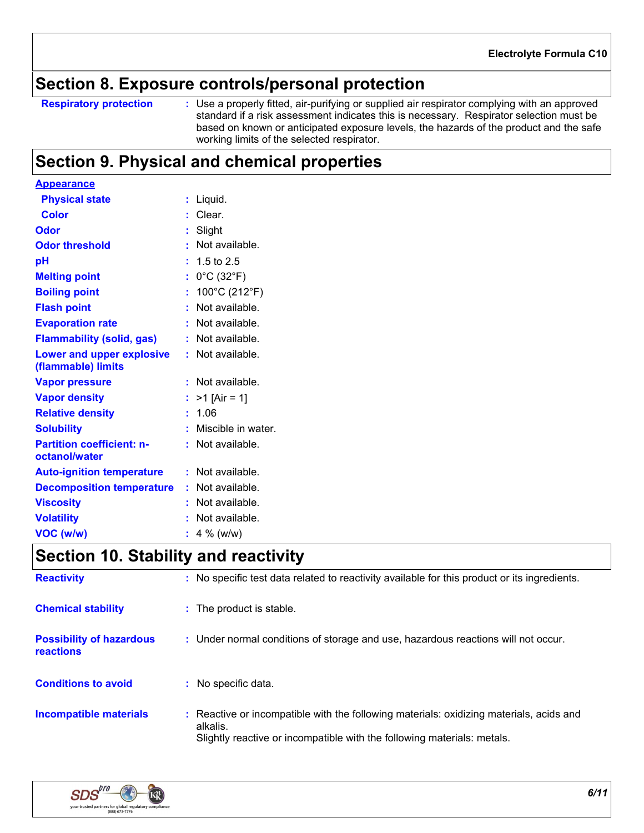### **Section 8. Exposure controls/personal protection**

**Respiratory protection :**

Use a properly fitted, air-purifying or supplied air respirator complying with an approved standard if a risk assessment indicates this is necessary. Respirator selection must be based on known or anticipated exposure levels, the hazards of the product and the safe working limits of the selected respirator.

### **Section 9. Physical and chemical properties**

| <b>Appearance</b>                |    |                                 |
|----------------------------------|----|---------------------------------|
| <b>Physical state</b>            |    | Liquid.                         |
| <b>Color</b>                     |    | Clear.                          |
| Odor                             |    | Slight                          |
| <b>Odor threshold</b>            |    | Not available.                  |
| рH                               |    | 1.5 to 2.5                      |
| <b>Melting point</b>             |    | $0^{\circ}$ C (32 $^{\circ}$ F) |
| <b>Boiling point</b>             |    | 100°C (212°F)                   |
| <b>Flash point</b>               |    | Not available.                  |
| <b>Evaporation rate</b>          |    | Not available.                  |
| <b>Flammability (solid, gas)</b> |    | Not available.                  |
| <b>Lower and upper explosive</b> |    | Not available.                  |
| (flammable) limits               |    |                                 |
| <b>Vapor pressure</b>            |    | Not available.                  |
| <b>Vapor density</b>             |    | $>1$ [Air = 1]                  |
| <b>Relative density</b>          | t. | 1.06                            |
| <b>Solubility</b>                |    | Miscible in water.              |
| <b>Partition coefficient: n-</b> |    | Not available.                  |
| octanol/water                    |    |                                 |
| <b>Auto-ignition temperature</b> | ÷. | Not available.                  |
| <b>Decomposition temperature</b> |    | Not available.                  |
| <b>Viscosity</b>                 |    | Not available.                  |
| <b>Volatility</b>                |    | Not available.                  |
| VOC (w/w)                        |    | 4 % ( $w/w$ )                   |

### **Section 10. Stability and reactivity**

| <b>Reactivity</b>                            | : No specific test data related to reactivity available for this product or its ingredients.                                                                                   |
|----------------------------------------------|--------------------------------------------------------------------------------------------------------------------------------------------------------------------------------|
| <b>Chemical stability</b>                    | : The product is stable.                                                                                                                                                       |
| <b>Possibility of hazardous</b><br>reactions | : Under normal conditions of storage and use, hazardous reactions will not occur.                                                                                              |
| <b>Conditions to avoid</b>                   | : No specific data.                                                                                                                                                            |
| <b>Incompatible materials</b>                | : Reactive or incompatible with the following materials: oxidizing materials, acids and<br>alkalis.<br>Slightly reactive or incompatible with the following materials: metals. |

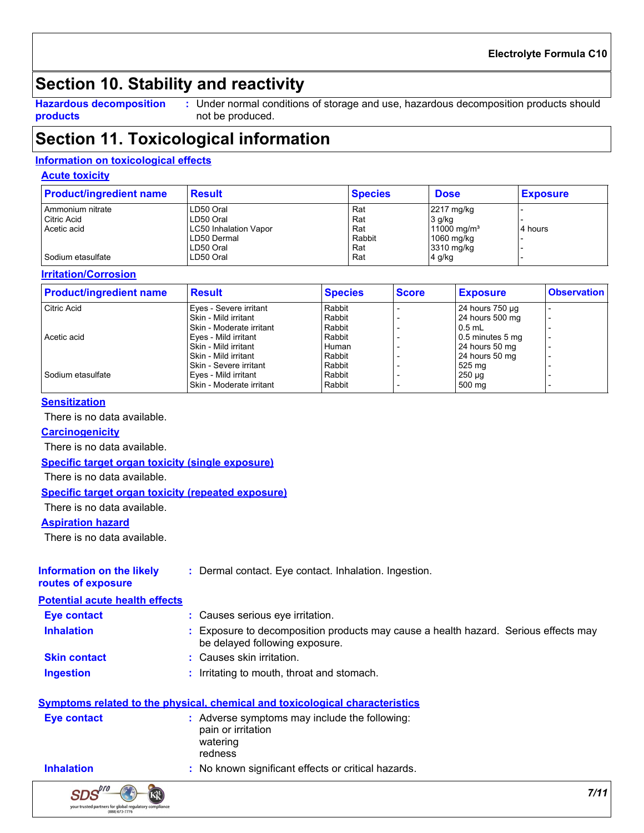### **Section 10. Stability and reactivity**

**Hazardous decomposition products**

Under normal conditions of storage and use, hazardous decomposition products should **:** not be produced.

### **Section 11. Toxicological information**

#### **Information on toxicological effects**

#### **Acute toxicity**

| <b>Product/ingredient name</b> | <b>Result</b>                | <b>Species</b> | <b>Dose</b>             | <b>Exposure</b> |
|--------------------------------|------------------------------|----------------|-------------------------|-----------------|
| Ammonium nitrate               | LD50 Oral                    | Rat            | 2217 mg/kg              |                 |
| Citric Acid                    | LD50 Oral                    | Rat            | 3 g/kg                  |                 |
| Acetic acid                    | <b>LC50 Inhalation Vapor</b> | Rat            | 11000 mg/m <sup>3</sup> | 4 hours         |
|                                | LD50 Dermal                  | Rabbit         | 1060 mg/kg              |                 |
|                                | LD50 Oral                    | Rat            | 3310 mg/kg              |                 |
| Sodium etasulfate              | LD50 Oral                    | Rat            | 4 g/kg                  |                 |

#### **Irritation/Corrosion**

| <b>Product/ingredient name</b> | <b>Result</b>            | <b>Species</b> | <b>Score</b> | <b>Exposure</b>    | <b>Observation</b> |
|--------------------------------|--------------------------|----------------|--------------|--------------------|--------------------|
| <b>Citric Acid</b>             | Eyes - Severe irritant   | Rabbit         |              | 24 hours 750 µg    |                    |
|                                | Skin - Mild irritant     | Rabbit         |              | 24 hours 500 mg    |                    |
|                                | Skin - Moderate irritant | Rabbit         |              | $0.5$ mL           |                    |
| Acetic acid                    | Eyes - Mild irritant     | Rabbit         |              | $0.5$ minutes 5 mg |                    |
|                                | Skin - Mild irritant     | Human          |              | 24 hours 50 mg     |                    |
|                                | Skin - Mild irritant     | Rabbit         |              | 24 hours 50 mg     |                    |
|                                | Skin - Severe irritant   | Rabbit         |              | 525 mg             |                    |
| Sodium etasulfate              | Eyes - Mild irritant     | Rabbit         |              | $250 \mu q$        |                    |
|                                | Skin - Moderate irritant | Rabbit         |              | 500 mg             |                    |

#### **Sensitization**

There is no data available.

#### **Carcinogenicity**

There is no data available.

#### **Specific target organ toxicity (single exposure)**

There is no data available.

#### **Specific target organ toxicity (repeated exposure)**

There is no data available.

#### **Aspiration hazard**

There is no data available.

| <b>Information on the likely</b><br>routes of exposure | : Dermal contact. Eye contact. Inhalation. Ingestion.                                                                 |  |  |
|--------------------------------------------------------|-----------------------------------------------------------------------------------------------------------------------|--|--|
| <b>Potential acute health effects</b>                  |                                                                                                                       |  |  |
| <b>Eye contact</b>                                     | : Causes serious eye irritation.                                                                                      |  |  |
| <b>Inhalation</b>                                      | : Exposure to decomposition products may cause a health hazard. Serious effects may<br>be delayed following exposure. |  |  |
| <b>Skin contact</b>                                    | : Causes skin irritation.                                                                                             |  |  |
| <b>Ingestion</b>                                       | : Irritating to mouth, throat and stomach.                                                                            |  |  |

#### **Symptoms related to the physical, chemical and toxicological characteristics**

| Eye contact       | : Adverse symptoms may include the following:<br>pain or irritation<br>watering<br>redness |
|-------------------|--------------------------------------------------------------------------------------------|
| <b>Inhalation</b> | No known significant effects or critical hazards                                           |

**Inhalation 1992 :** No known significant effects or critical hazards.

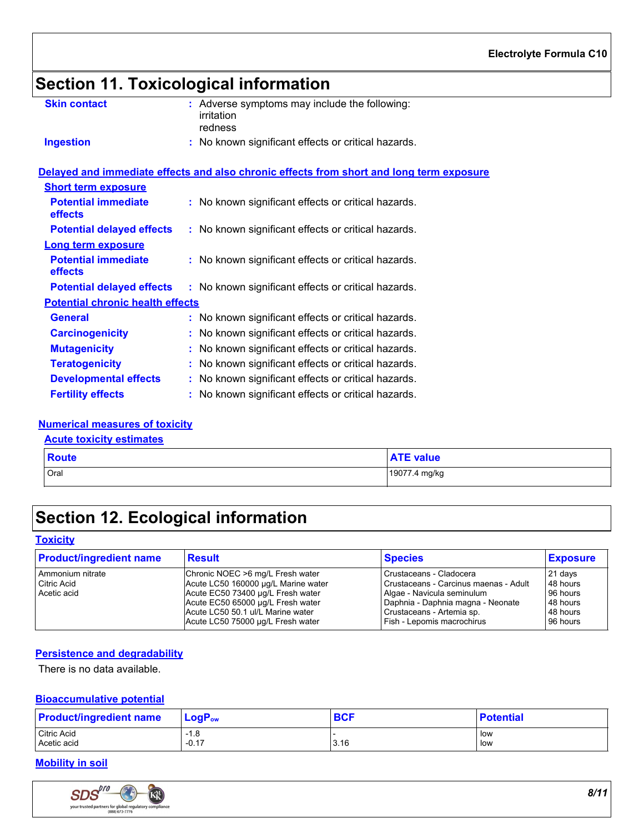# **Section 11. Toxicological information**

| <b>Skin contact</b>                     | : Adverse symptoms may include the following:<br>irritation<br>redness                   |
|-----------------------------------------|------------------------------------------------------------------------------------------|
| <b>Ingestion</b>                        | : No known significant effects or critical hazards.                                      |
|                                         | Delayed and immediate effects and also chronic effects from short and long term exposure |
| <b>Short term exposure</b>              |                                                                                          |
| <b>Potential immediate</b><br>effects   | : No known significant effects or critical hazards.                                      |
| <b>Potential delayed effects</b>        | : No known significant effects or critical hazards.                                      |
| <b>Long term exposure</b>               |                                                                                          |
| <b>Potential immediate</b><br>effects   | : No known significant effects or critical hazards.                                      |
| <b>Potential delayed effects</b>        | : No known significant effects or critical hazards.                                      |
| <b>Potential chronic health effects</b> |                                                                                          |
| <b>General</b>                          | : No known significant effects or critical hazards.                                      |
| <b>Carcinogenicity</b>                  | : No known significant effects or critical hazards.                                      |
| <b>Mutagenicity</b>                     | : No known significant effects or critical hazards.                                      |
| <b>Teratogenicity</b>                   | : No known significant effects or critical hazards.                                      |
| <b>Developmental effects</b>            | : No known significant effects or critical hazards.                                      |
| <b>Fertility effects</b>                | : No known significant effects or critical hazards.                                      |

#### **Numerical measures of toxicity**

#### **Acute toxicity estimates**

| <b>Route</b> | <b>ATE value</b> |
|--------------|------------------|
| Oral         | 19077.4 mg/kg    |

### **Section 12. Ecological information**

#### **Toxicity**

| <b>Product/ingredient name</b> | Result                              | <b>Species</b>                        | <b>Exposure</b> |
|--------------------------------|-------------------------------------|---------------------------------------|-----------------|
| Ammonium nitrate               | Chronic NOEC >6 mg/L Fresh water    | Crustaceans - Cladocera               | 21 days         |
| Citric Acid                    | Acute LC50 160000 µg/L Marine water | Crustaceans - Carcinus maenas - Adult | 48 hours        |
| Acetic acid                    | Acute EC50 73400 µg/L Fresh water   | Algae - Navicula seminulum            | 96 hours        |
|                                | Acute EC50 65000 µg/L Fresh water   | Daphnia - Daphnia magna - Neonate     | 48 hours        |
|                                | Acute LC50 50.1 ul/L Marine water   | Crustaceans - Artemia sp.             | 48 hours        |
|                                | Acute LC50 75000 ug/L Fresh water   | Fish - Lepomis macrochirus            | 96 hours        |

#### **Persistence and degradability**

There is no data available.

#### **Bioaccumulative potential**

| <b>Product/ingredient name</b> | $LogPow$ | <b>BCF</b> | <b>Potential</b> |
|--------------------------------|----------|------------|------------------|
| Citric Acid                    | $-1.8$   |            | low              |
| Acetic acid                    | $-0.17$  | 3.16       | low              |

#### **Mobility in soil**

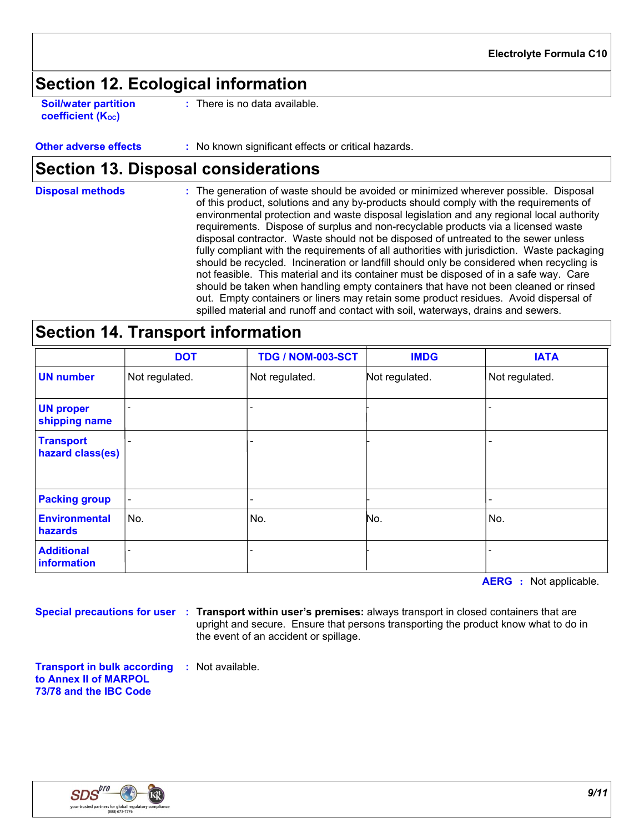### **Section 12. Ecological information**

**Soil/water partition coefficient (KOC)**

**:** There is no data available.

**Other adverse effects** : No known significant effects or critical hazards.

### **Section 13. Disposal considerations**

**Disposal methods :**

The generation of waste should be avoided or minimized wherever possible. Disposal of this product, solutions and any by-products should comply with the requirements of environmental protection and waste disposal legislation and any regional local authority requirements. Dispose of surplus and non-recyclable products via a licensed waste disposal contractor. Waste should not be disposed of untreated to the sewer unless fully compliant with the requirements of all authorities with jurisdiction. Waste packaging should be recycled. Incineration or landfill should only be considered when recycling is not feasible. This material and its container must be disposed of in a safe way. Care should be taken when handling empty containers that have not been cleaned or rinsed out. Empty containers or liners may retain some product residues. Avoid dispersal of spilled material and runoff and contact with soil, waterways, drains and sewers.

### **Section 14. Transport information**

|                                      | <b>DOT</b>     | <b>TDG / NOM-003-SCT</b> | <b>IMDG</b>    | <b>IATA</b>    |
|--------------------------------------|----------------|--------------------------|----------------|----------------|
| <b>UN number</b>                     | Not regulated. | Not regulated.           | Not regulated. | Not regulated. |
| <b>UN proper</b><br>shipping name    |                |                          |                |                |
| <b>Transport</b><br>hazard class(es) |                |                          |                |                |
| <b>Packing group</b>                 |                |                          |                |                |
| <b>Environmental</b><br>hazards      | No.            | No.                      | No.            | No.            |
| <b>Additional</b><br>information     |                |                          |                |                |

**AERG :** Not applicable.

**Special precautions for user Transport within user's premises:** always transport in closed containers that are **:** upright and secure. Ensure that persons transporting the product know what to do in the event of an accident or spillage.

**Transport in bulk according :** Not available. **to Annex II of MARPOL 73/78 and the IBC Code**

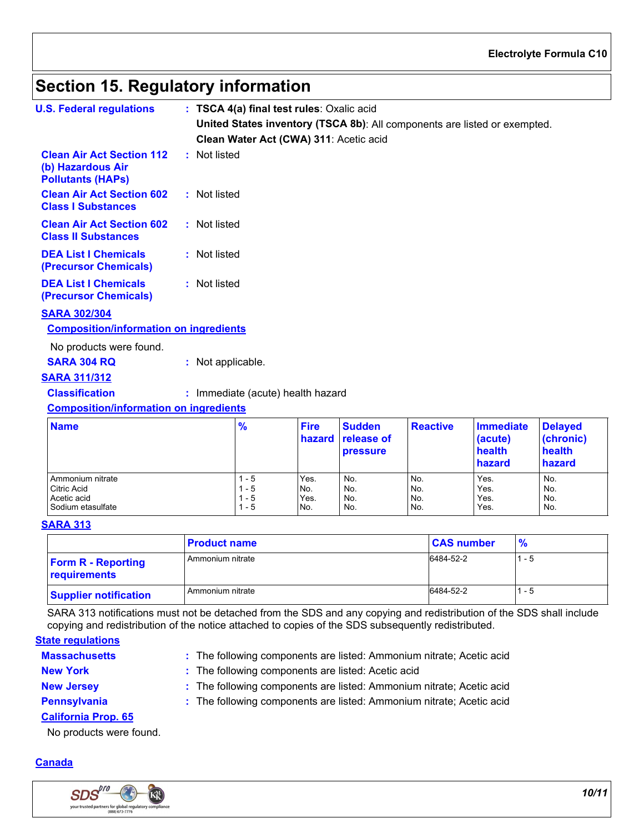#### **Electrolyte Formula C10**

### **Section 15. Regulatory information**

| <b>U.S. Federal regulations</b>                                                   |                   | : TSCA 4(a) final test rules: Oxalic acid |                       |                                                |                 |                                                                           |                                       |
|-----------------------------------------------------------------------------------|-------------------|-------------------------------------------|-----------------------|------------------------------------------------|-----------------|---------------------------------------------------------------------------|---------------------------------------|
|                                                                                   |                   |                                           |                       |                                                |                 | United States inventory (TSCA 8b): All components are listed or exempted. |                                       |
|                                                                                   |                   | Clean Water Act (CWA) 311: Acetic acid    |                       |                                                |                 |                                                                           |                                       |
| <b>Clean Air Act Section 112</b><br>(b) Hazardous Air<br><b>Pollutants (HAPS)</b> | : Not listed      |                                           |                       |                                                |                 |                                                                           |                                       |
| <b>Clean Air Act Section 602</b><br><b>Class I Substances</b>                     | : Not listed      |                                           |                       |                                                |                 |                                                                           |                                       |
| <b>Clean Air Act Section 602</b><br><b>Class II Substances</b>                    | : Not listed      |                                           |                       |                                                |                 |                                                                           |                                       |
| <b>DEA List I Chemicals</b><br>(Precursor Chemicals)                              | : Not listed      |                                           |                       |                                                |                 |                                                                           |                                       |
| <b>DEA List I Chemicals</b><br>(Precursor Chemicals)                              | : Not listed      |                                           |                       |                                                |                 |                                                                           |                                       |
| <b>SARA 302/304</b><br><b>Composition/information on ingredients</b>              |                   |                                           |                       |                                                |                 |                                                                           |                                       |
| No products were found.                                                           |                   |                                           |                       |                                                |                 |                                                                           |                                       |
| <b>SARA 304 RQ</b>                                                                | : Not applicable. |                                           |                       |                                                |                 |                                                                           |                                       |
| <b>SARA 311/312</b>                                                               |                   |                                           |                       |                                                |                 |                                                                           |                                       |
| <b>Classification</b>                                                             |                   | : Immediate (acute) health hazard         |                       |                                                |                 |                                                                           |                                       |
| <b>Composition/information on ingredients</b>                                     |                   |                                           |                       |                                                |                 |                                                                           |                                       |
| <b>Name</b>                                                                       |                   | $\frac{9}{6}$                             | <b>Fire</b><br>hazard | <b>Sudden</b><br>release of<br><b>pressure</b> | <b>Reactive</b> | <b>Immediate</b><br>(acute)<br>health                                     | <b>Delayed</b><br>(chronic)<br>health |

|                    |     |      | . <u>.</u> |     | .<br><b>hazard</b> | .<br>hazard |
|--------------------|-----|------|------------|-----|--------------------|-------------|
| Ammonium nitrate   | - 5 | Yes. | No.        | No. | Yes.               | No.         |
| <b>Citric Acid</b> | - 5 | No.  | No.        | No. | Yes.               | No.         |
| Acetic acid        | - 5 | Yes. | No.        | No. | Yes.               | No.         |
| Sodium etasulfate  | - 5 | No.  | No.        | No. | Yes.               | No.         |

#### **SARA 313**

|                                           | <b>Product name</b> | <b>CAS number</b> | $\frac{9}{6}$ |
|-------------------------------------------|---------------------|-------------------|---------------|
| <b>Form R - Reporting</b><br>requirements | Ammonium nitrate    | 6484-52-2         | - 5           |
| <b>Supplier notification</b>              | Ammonium nitrate    | 6484-52-2         | - 5           |

SARA 313 notifications must not be detached from the SDS and any copying and redistribution of the SDS shall include copying and redistribution of the notice attached to copies of the SDS subsequently redistributed.

#### **Massachusetts State regulations**

The following components are listed: Ammonium nitrate; Acetic acid **:**

- 
- **New York :** The following components are listed: Acetic acid
- 
- **New Jersey :** The following components are listed: Ammonium nitrate; Acetic acid

**Pennsylvania :** The following components are listed: Ammonium nitrate; Acetic acid

#### **California Prop. 65**

No products were found.

#### **Canada**